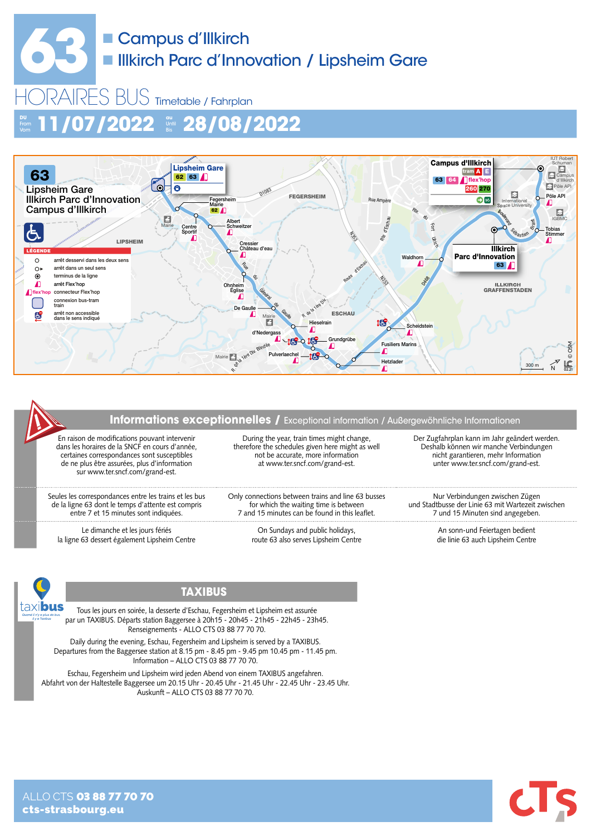# **633** Campus d'Illkirch<br>
Illkirch Parc d'Inne **Illkirch Parc d'Innovation / Lipsheim Gare**

HORAIRES BUS Timetable / Fahrplan **DU** Vom **11/07/2022 au** Until Bis **28/08/2022**



#### **Informations exceptionnelles /** Exceptional information / Außergewöhnliche Informationen

En raison de modifications pouvant intervenir dans les horaires de la SNCF en cours d'année, certaines correspondances sont susceptibles de ne plus être assurées, plus d'information sur www.ter.sncf.com/grand-est.

Seules les correspondances entre les trains et les bus de la ligne 63 dont le temps d'attente est compris entre 7 et 15 minutes sont indiquées.

Le dimanche et les jours fériés la ligne 63 dessert également Lipsheim Centre

During the year, train times might change, therefore the schedules given here might as well not be accurate, more information at www.ter.sncf.com/grand-est.

Only connections between trains and line 63 busses for which the waiting time is between 7 and 15 minutes can be found in this leaflet.

> On Sundays and public holidays, route 63 also serves Lipsheim Centre

Der Zugfahrplan kann im Jahr geändert werden. Deshalb können wir manche Verbindungen nicht garantieren, mehr Information unter www.ter.sncf.com/grand-est.

Nur Verbindungen zwischen Zügen und Stadtbusse der Linie 63 mit Wartezeit zwischen 7 und 15 Minuten sind angegeben.

> An sonn-und Feiertagen bedient die linie 63 auch Lipsheim Centre



#### **TAXIBUS**

Tous les jours en soirée, la desserte d'Eschau, Fegersheim et Lipsheim est assurée par un TAXIBUS. Départs station Baggersee à 20h15 - 20h45 - 21h45 - 22h45 - 23h45. Renseignements - ALLO CTS 03 88 77 70 70.

Daily during the evening, Eschau, Fegersheim and Lipsheim is served by a TAXIBUS. Departures from the Baggersee station at 8.15 pm - 8.45 pm - 9.45 pm 10.45 pm - 11.45 pm. Information – ALLO CTS 03 88 77 70 70.

Eschau, Fegersheim und Lipsheim wird jeden Abend von einem TAXIBUS angefahren. Abfahrt von der Haltestelle Baggersee um 20.15 Uhr - 20.45 Uhr - 21.45 Uhr - 22.45 Uhr - 23.45 Uhr. Auskunft – ALLO CTS 03 88 77 70 70.

ALLO CTS 03 88 77 70 70 cts-strasbourg.eu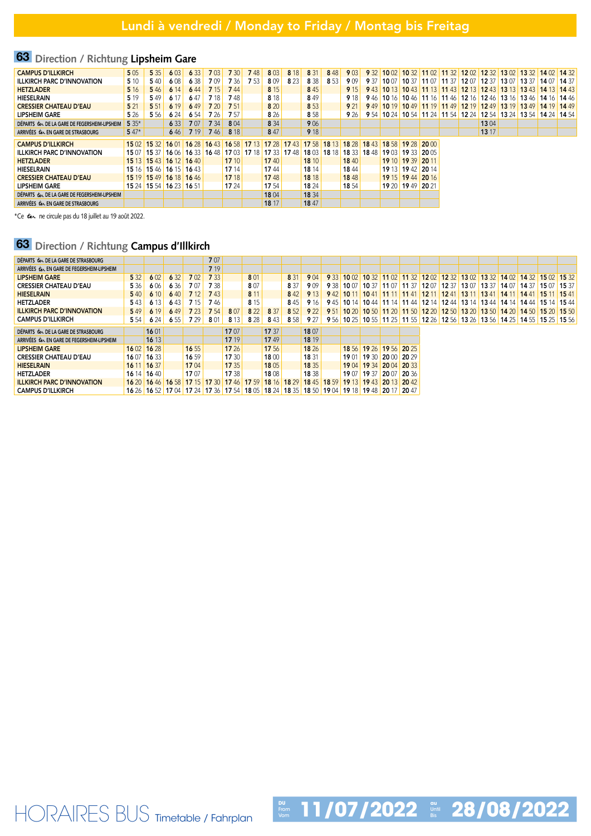## 63 **Direction / Richtung Lipsheim Gare**

| <b>CAMPUS D'ILLKIRCH</b>                      | 5 0 5   | 5 3 5 | 6 0 3                                                                                                                         | 6 3 3       | 7 0 3       | 7 30  | 748   | 803         | 8 18  | 8 3 1       | 848   | 9 0 3       | 9 32 |       |                   |       |      | 10 02 10 32 11 02 11 32 12 02 12 32 13 02 13 32 14 02 14 32                   |               |             |  |
|-----------------------------------------------|---------|-------|-------------------------------------------------------------------------------------------------------------------------------|-------------|-------------|-------|-------|-------------|-------|-------------|-------|-------------|------|-------|-------------------|-------|------|-------------------------------------------------------------------------------|---------------|-------------|--|
| <b>ILLKIRCH PARC D'INNOVATION</b>             | 5 10    | 540   | 608                                                                                                                           | 6 3 8       | 709         | 7 36  | 7 5 3 | 809         | 8 2 3 | 8 3 8       | 8 5 3 | 909         | 9 37 | 10 07 | 10.37             | 11 07 | 1137 | 12 07 12 37                                                                   | 13 07 13 37 1 | 14 07 14 37 |  |
| <b>HETZLADER</b>                              | 5 1 6   | 546   | 6 14                                                                                                                          | 644         | 7 15        | 744   |       | 8 1 5       |       | 8 4 5       |       | 9 15        |      |       |                   |       |      | 9 43 10 13 10 43 11 13 11 43 12 13 12 43 13 13 13 43 14 13 14 43              |               |             |  |
| <b>HIESELRAIN</b>                             | 5 1 9   | 549   | 6 17                                                                                                                          | 647         | 7 18        | 748   |       | 8 1 8       |       | 849         |       | 9 18        | 946  |       |                   |       |      | 10 16   10 46   11 16   11 46   12 16   12 46   13 16   13 46   14 16   14 46 |               |             |  |
| <b>CRESSIER CHATEAU D'EAU</b>                 | 521     | 5 5 1 | 6 19                                                                                                                          | 649         | 7 20        | 7 51  |       | 8 20        |       | 8 5 3       |       | 9 21        | 949  |       |                   |       |      | 10 19 10 49 11 19 11 49 12 19 12 49 13 19 13 49 14 19 14 49                   |               |             |  |
| <b>LIPSHEIM GARE</b>                          | 5 26    | 5 5 6 | 6 24                                                                                                                          | 6 54        | 7 26        | 7 57  |       | 8 2 6       |       | 8 5 8       |       | 9 26        |      |       |                   |       |      | 9 54 10 24 10 54 11 24 11 54 12 24 12 54 13 24 13 54 14 24 14 54              |               |             |  |
| DEPARTS Les DE LA GARE DE FEGERSHEIM-LIPSHEIM | $5.35*$ |       | 6 3 3                                                                                                                         | 707         | 7 3 4       | 8 0 4 |       | 8 3 4       |       | 9 0 6       |       |             |      |       |                   |       |      | 13 04                                                                         |               |             |  |
| ARRIVÉES Les EN GARE DE STRASBOURG            | $547*$  |       | 646                                                                                                                           | <b>7</b> 19 | <b>7</b> 46 | 8 18  |       | 847         |       | 9 18        |       |             |      |       |                   |       |      | 13 17                                                                         |               |             |  |
|                                               |         |       |                                                                                                                               |             |             |       |       |             |       |             |       |             |      |       |                   |       |      |                                                                               |               |             |  |
| <b>CAMPUS D'ILLKIRCH</b>                      |         |       | 15 02   15 32   16 01   16 28   16 43   16 58   17 13   17 28   17 43   17 58   18 13   18 28   18 43   18 58   19 28   20 00 |             |             |       |       |             |       |             |       |             |      |       |                   |       |      |                                                                               |               |             |  |
| <b>ILLKIRCH PARC D'INNOVATION</b>             |         |       | 15 07 15 37 16 06                                                                                                             |             | 16 33 16 48 | 1703  | 17 18 | 17 33 17 48 |       | 18 03 18 18 |       | 18 33 18 48 |      | 1903  | 19 33 20 05       |       |      |                                                                               |               |             |  |
| <b>HETZLADER</b>                              |         |       | 15 13 15 43 16 12 16 40                                                                                                       |             |             | 17 10 |       | 1740        |       | 18 10       |       | 1840        |      |       | 19 10 19 39 20 11 |       |      |                                                                               |               |             |  |
| <b>HIESELRAIN</b>                             |         |       | 15 16 15 46 16 15 16 43                                                                                                       |             |             | 17 14 |       | 1744        |       | 18 14       |       | 1844        |      |       | 19 13 19 42 20 14 |       |      |                                                                               |               |             |  |
| <b>CRESSIER CHATEAU D'EAU</b>                 |         |       | 15 19 15 49 16 18 16 46                                                                                                       |             |             | 17 18 |       | 1748        |       | 18 18       |       | 1848        |      |       | 19 15 19 44 20 16 |       |      |                                                                               |               |             |  |
| <b>LIPSHEIM GARE</b>                          |         |       | 15 24 15 54 16 23 16 51                                                                                                       |             |             | 17 24 |       | 17 54       |       | 18 24       |       | 18 54       |      |       | 19 20 19 49 20 21 |       |      |                                                                               |               |             |  |
| DÉPARTS Les DE LA GARE DE FEGERSHEIM-LIPSHEIM |         |       |                                                                                                                               |             |             |       |       | 1804        |       | 18 34       |       |             |      |       |                   |       |      |                                                                               |               |             |  |
| ARRIVÉES COL EN GARE DE STRASBOURG            |         |       |                                                                                                                               |             |             |       |       | 18 17       |       | 18 47       |       |             |      |       |                   |       |      |                                                                               |               |             |  |
|                                               |         |       |                                                                                                                               |             |             |       |       |             |       |             |       |             |      |       |                   |       |      |                                                                               |               |             |  |

\*Ce tex ne circule pas du 18 juillet au 19 août 2022.

## 63 **Direction / Richtung Campus d'Illkirch**

| DEPARTS Ler DE LA GARE DE STRASBOURG        |              |                                                                                           |       |             | 707               |       |       |       |       |       |       |       |             |                         |              |              |      |                   |      |       |                                               |                                                                                               |       |
|---------------------------------------------|--------------|-------------------------------------------------------------------------------------------|-------|-------------|-------------------|-------|-------|-------|-------|-------|-------|-------|-------------|-------------------------|--------------|--------------|------|-------------------|------|-------|-----------------------------------------------|-----------------------------------------------------------------------------------------------|-------|
| ARRIVÉES Cer EN GARE DE FEGERSHEIM-LIPSHEIM |              |                                                                                           |       |             | 7 19              |       |       |       |       |       |       |       |             |                         |              |              |      |                   |      |       |                                               |                                                                                               |       |
| <b>LIPSHEIM GARE</b>                        | 5 3 2        | 602                                                                                       | 6 32  | 702         | 7 3 3             |       | 8 0 1 |       | 8 31  | 904   | 9 3 3 | 1002  |             | $1032$ 11 02            |              | $1132$ 12 02 |      |                   |      |       |                                               | 12 32 13 02 13 32 14 02 14 32 15 02                                                           | 1532  |
| <b>CRESSIER CHATEAU D'EAU</b>               | 5 3 6        | 606                                                                                       | 6 36  | 707         | 7 38              |       | 807   |       | 8 3 7 | 909   | 9 38  | 1007  | 10 37       | 1107                    | $1137$ 12 07 |              |      | 12 37 13 07 13 37 |      | 14 07 | 14 37                                         | 1507                                                                                          | 15 37 |
| <b>HIESELRAIN</b>                           | 540          | 610                                                                                       | 640   | <b>7</b> 12 | 743               |       | 8 1 1 |       | 842   | 9 13  | 942   | 10 11 | 1041        | 11 11 1                 | 11 41        | 1211         | 1241 | 1311              | 1341 | 14 11 | 1441                                          | 15 11                                                                                         | 1541  |
| <b>HETZLADER</b>                            | 5 4 3        | 6 13                                                                                      | 643   | 7 15        | 746               |       | 8 1 5 |       | 845   | 9 16  | 945   |       |             |                         |              |              |      |                   |      |       |                                               | 10 14   10 44   11 14   11 44   12 14   12 44   13 14   13 44   14 14   14 44   15 14   15 44 |       |
| <b>ILLKIRCH PARC D'INNOVATION</b>           | 549          | 6 19                                                                                      | 649   | <b>723</b>  | 7 54              | 8 0 7 | 8 2 2 | 8 37  | 8.52  | 9 22  | 9 51  | 10 20 |             | 10 50 11 20 11 50 12 20 |              |              |      |                   |      |       | 12 50   13 20   13 50   14 20   14 50   15 20 |                                                                                               | 15,50 |
| <b>CAMPUS D'ILLKIRCH</b>                    | 5 5 4        | 624                                                                                       | 655   | 7 29        | 801               | 8 1 3 | 8 2 8 | 843   | 8 5 8 | 9 27  |       |       |             |                         |              |              |      |                   |      |       |                                               | 9 56 10 25 10 55 11 25 11 55 12 26 12 56 13 26 13 56 14 25 14 55 15 25 15 56                  |       |
| DEPARTS Ler DE LA GARE DE STRASBOURG        |              | 1601                                                                                      |       |             |                   | 1707  |       | 17 37 |       | 18 07 |       |       |             |                         |              |              |      |                   |      |       |                                               |                                                                                               |       |
| ARRIVÉES Les EN GARE DE FEGERSHEIM-LIPSHEIM |              | 16 13                                                                                     |       |             |                   | 17 19 |       | 1749  |       | 18 19 |       |       |             |                         |              |              |      |                   |      |       |                                               |                                                                                               |       |
| <b>LIPSHEIM GARE</b>                        |              | 16 02 16 28                                                                               |       | 1655        |                   | 17 26 |       | 17 56 |       | 18 26 |       | 18 56 |             | 19 26 19 56 20 25       |              |              |      |                   |      |       |                                               |                                                                                               |       |
| <b>CRESSIER CHATEAU D'EAU</b>               |              | 16 07 16 33                                                                               |       | 16 59       |                   | 17 30 |       | 1800  |       | 18 31 |       | 1901  |             | 19 30 20 00 20 29       |              |              |      |                   |      |       |                                               |                                                                                               |       |
| <b>HIESELRAIN</b>                           | $1611$ 16 37 |                                                                                           |       | 1704        |                   | 17 35 |       | 1805  |       | 18 35 |       | 1904  | 19 34 20 04 |                         | 20 33        |              |      |                   |      |       |                                               |                                                                                               |       |
| <b>HETZLADER</b>                            |              | 16 14 16 40                                                                               |       | 1707        |                   | 17 38 |       | 1808  |       | 18 38 |       | 1907  | 19 37       | 2007                    | 20 36        |              |      |                   |      |       |                                               |                                                                                               |       |
| <b>ILLKIRCH PARC D'INNOVATION</b>           |              | 16 20 16 46                                                                               | 16 58 |             | 17 15 17 30 17 46 |       | 17 59 | 18 16 | 18 29 | 1845  | 18 59 |       |             | 19 13 19 43 20 13 20 42 |              |              |      |                   |      |       |                                               |                                                                                               |       |
| <b>CAMPUS D'ILLKIRCH</b>                    |              | 16 26 16 52 17 04 17 24 17 36 17 54 18 05 18 24 18 35 18 50 19 04 19 18 19 48 20 17 20 47 |       |             |                   |       |       |       |       |       |       |       |             |                         |              |              |      |                   |      |       |                                               |                                                                                               |       |